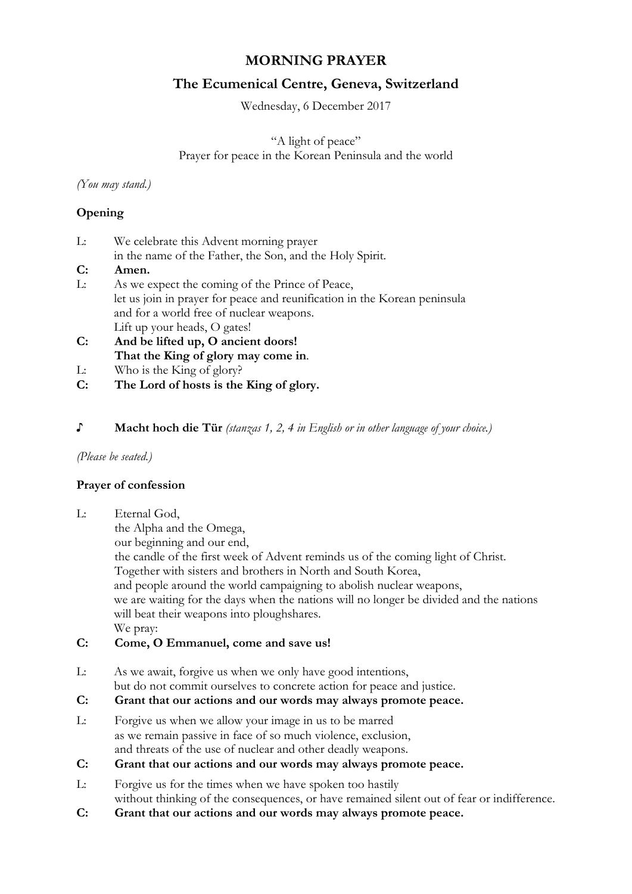# **MORNING PRAYER**

# **The Ecumenical Centre, Geneva, Switzerland**

Wednesday, 6 December 2017

"A light of peace" Prayer for peace in the Korean Peninsula and the world

*(You may stand.)*

# **Opening**

| Ŀ. | We celebrate this Advent morning prayer                                   |
|----|---------------------------------------------------------------------------|
|    | in the name of the Father, the Son, and the Holy Spirit.                  |
| C: | Amen.                                                                     |
| Ŀ. | As we expect the coming of the Prince of Peace,                           |
|    | let us join in prayer for peace and reunification in the Korean peninsula |
|    | and for a world free of nuclear weapons.                                  |
|    | Lift up your heads, O gates!                                              |
| C: | And be lifted up, O ancient doors!                                        |

- **That the King of glory may come in**.
- L: Who is the King of glory?
- **C: The Lord of hosts is the King of glory.**
- **♪ Macht hoch die Tür** *(stanzas 1, 2, 4 in English or in other language of your choice.)*

*(Please be seated.)*

# **Prayer of confession**

- L: Eternal God,
	- the Alpha and the Omega,

our beginning and our end,

the candle of the first week of Advent reminds us of the coming light of Christ. Together with sisters and brothers in North and South Korea, and people around the world campaigning to abolish nuclear weapons, we are waiting for the days when the nations will no longer be divided and the nations

will beat their weapons into ploughshares.

We pray:

# **C: Come, O Emmanuel, come and save us!**

- L: As we await, forgive us when we only have good intentions,
- but do not commit ourselves to concrete action for peace and justice.
- **C: Grant that our actions and our words may always promote peace.**
- L: Forgive us when we allow your image in us to be marred as we remain passive in face of so much violence, exclusion, and threats of the use of nuclear and other deadly weapons.
- **C: Grant that our actions and our words may always promote peace.**
- L: Forgive us for the times when we have spoken too hastily without thinking of the consequences, or have remained silent out of fear or indifference.
- **C: Grant that our actions and our words may always promote peace.**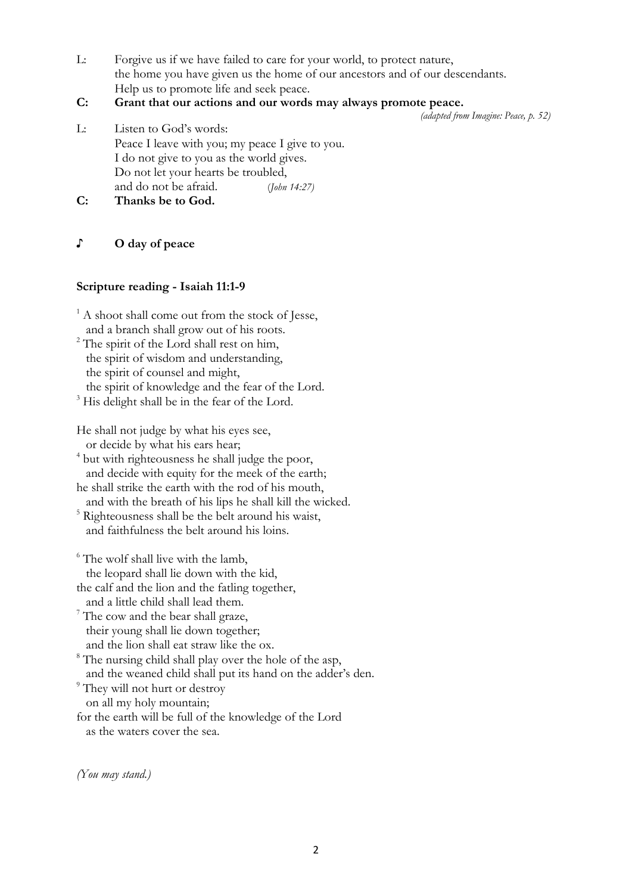L: Forgive us if we have failed to care for your world, to protect nature, the home you have given us the home of our ancestors and of our descendants. Help us to promote life and seek peace.

## **C: Grant that our actions and our words may always promote peace.**

*(adapted from Imagine: Peace, p. 52)*

L: Listen to God's words: Peace I leave with you; my peace I give to you. I do not give to you as the world gives. Do not let your hearts be troubled, and do not be afraid. (*John 14:27)*

**C: Thanks be to God.**

## **♪ O day of peace**

## **Scripture reading - Isaiah 11:1-9**

 $<sup>1</sup>$  A shoot shall come out from the stock of Jesse,</sup> and a branch shall grow out of his roots. 2 The spirit of the Lord shall rest on him,

 the spirit of wisdom and understanding, the spirit of counsel and might, the spirit of knowledge and the fear of the Lord.

<sup>3</sup> His delight shall be in the fear of the Lord.

He shall not judge by what his eyes see, or decide by what his ears hear;

<sup>4</sup> but with righteousness he shall judge the poor, and decide with equity for the meek of the earth;

he shall strike the earth with the rod of his mouth, and with the breath of his lips he shall kill the wicked.

<sup>5</sup> Righteousness shall be the belt around his waist, and faithfulness the belt around his loins.

<sup>6</sup> The wolf shall live with the lamb,

the leopard shall lie down with the kid,

the calf and the lion and the fatling together,<br>and a little child shall lead them.

 $\frac{7}{1}$  The cow and the bear shall graze, their young shall lie down together;<br>and the lion shall eat straw like the ox.

 $\delta$ <sup>8</sup> The nursing child shall play over the hole of the asp, and the weaned child shall put its hand on the adder's den.

<sup>9</sup> They will not hurt or destroy

on all my holy mountain;

for the earth will be full of the knowledge of the Lord as the waters cover the sea.

*(You may stand.)*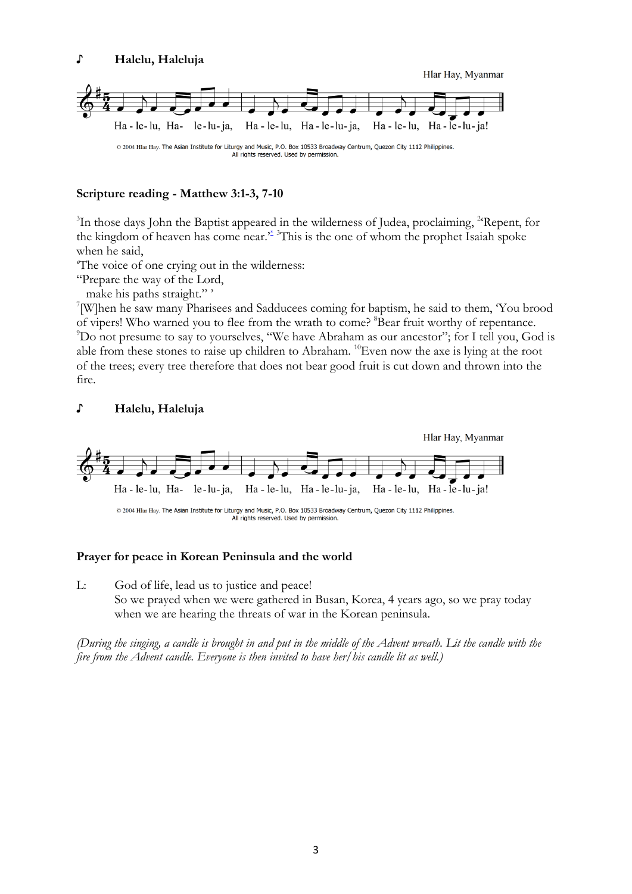

### **Scripture reading - Matthew 3:1-3, 7-10**

<sup>3</sup>In those days John the Baptist appeared in the wilderness of Judea, proclaiming, <sup>2</sup>Repent, for the kingdom of heaven has come near.<sup>\*</sup> This is the one of whom the prophet Isaiah spoke when he said,

'The voice of one crying out in the wilderness:

"Prepare the way of the Lord,

make his paths straight."'

[W]hen he saw many Pharisees and Sadducees coming for baptism, he said to them, 'You brood of vipers! Who warned you to flee from the wrath to come? <sup>8</sup>Bear fruit worthy of repentance. 9 Do not presume to say to yourselves, "We have Abraham as our ancestor"; for I tell you, God is able from these stones to raise up children to Abraham. 10Even now the axe is lying at the root of the trees; every tree therefore that does not bear good fruit is cut down and thrown into the fire.

#### **♪ Halelu, Haleluja**



#### **Prayer for peace in Korean Peninsula and the world**

L: God of life, lead us to justice and peace! So we prayed when we were gathered in Busan, Korea, 4 years ago, so we pray today when we are hearing the threats of war in the Korean peninsula.

*(During the singing, a candle is brought in and put in the middle of the Advent wreath. Lit the candle with the fire from the Advent candle. Everyone is then invited to have her/his candle lit as well.)*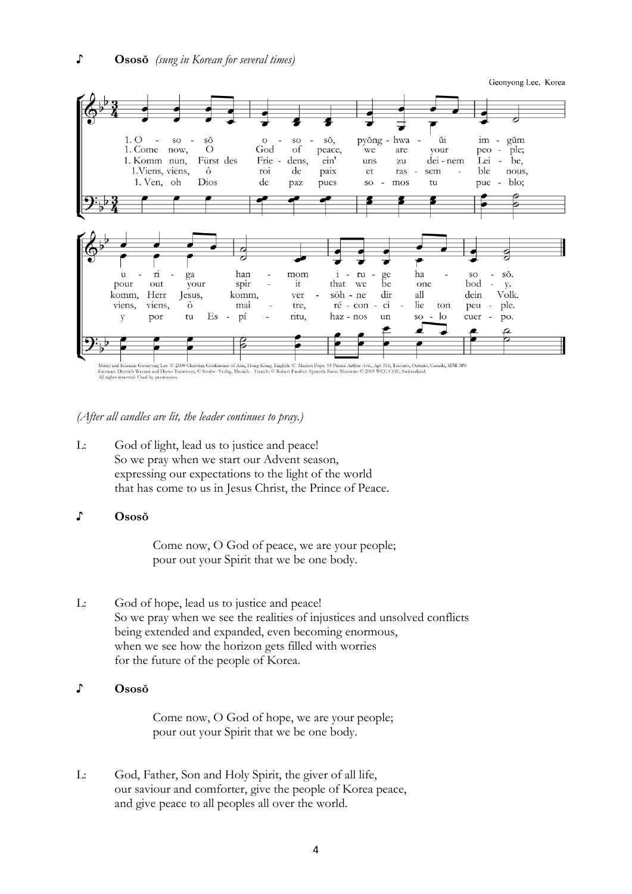Geonyong Lee, Korea



*(After all candles are lit, the leader continues to pray.)*

- L: God of light, lead us to justice and peace! So we pray when we start our Advent season, expressing our expectations to the light of the world that has come to us in Jesus Christ, the Prince of Peace.
- **♪ Ososŏ**

Come now, O God of peace, we are your people; pour out your Spirit that we be one body.

L: God of hope, lead us to justice and peace! So we pray when we see the realities of injustices and unsolved conflicts being extended and expanded, even becoming enormous, when we see how the horizon gets filled with worries for the future of the people of Korea.

#### **♪ Ososŏ**

Come now, O God of hope, we are your people; pour out your Spirit that we be one body.

L: God, Father, Son and Holy Spirit, the giver of all life, our saviour and comforter, give the people of Korea peace, and give peace to all peoples all over the world.